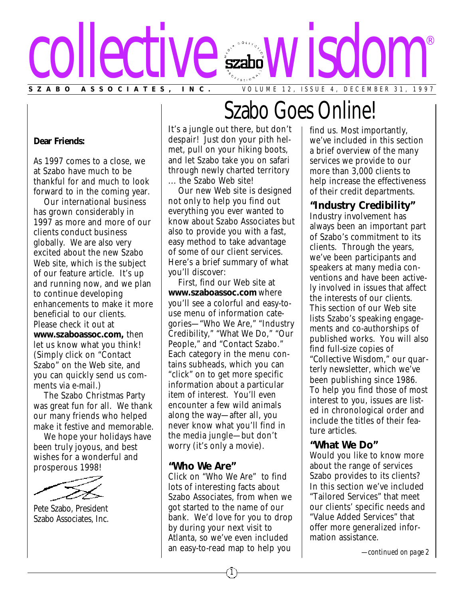

#### **Dear Friends:**

As 1997 comes to a close, we at Szabo have much to be thankful for and much to look forward to in the coming year.

Our international business has grown considerably in 1997 as more and more of our clients conduct business globally. We are also very excited about the new Szabo Web site, which is the subject of our feature article. It's up and running now, and we plan to continue developing enhancements to make it more beneficial to our clients. Please check it out at **www.szaboassoc.com,** then let us know what you think! (Simply click on "Contact Szabo" on the Web site, and you can quickly send us comments via e-mail.)

The Szabo Christmas Party was great fun for all. We thank our many friends who helped make it festive and memorable.

We hope your holidays have been truly joyous, and best wishes for a wonderful and prosperous 1998!



Pete Szabo, President Szabo Associates, Inc.

It's a jungle out there, but don't despair! Just don your pith helmet, pull on your hiking boots, and let Szabo take you on safari through newly charted territory ... the Szabo Web site!

Our new Web site is designed not only to help you find out everything you ever wanted to know about Szabo Associates but also to provide you with a fast, easy method to take advantage of some of our client services. Here's a brief summary of what you'll discover:

First, find our Web site at **www.szaboassoc.com** where you'll see a colorful and easy-touse menu of information categories—"Who We Are," "Industry Credibility," "What We Do," "Our People," and "Contact Szabo." Each category in the menu contains subheads, which you can "click" on to get more specific information about a particular item of interest. You'll even encounter a few wild animals along the way—after all, you never know what you'll find in the media jungle—but don't worry (it's only a movie).

### **"Who We Are"**

Click on "Who We Are" to find lots of interesting facts about Szabo Associates, from when we got started to the name of our bank. We'd love for you to drop by during your next visit to Atlanta, so we've even included an easy-to-read map to help you

1

## Szabo Goes Online!

find us. Most importantly, we've included in this section a brief overview of the many services we provide to our more than 3,000 clients to help increase the effectiveness of their credit departments.

### **"Industry Credibility"**

Industry involvement has always been an important part of Szabo's commitment to its clients. Through the years, we've been participants and speakers at many media conventions and have been actively involved in issues that affect the interests of our clients. This section of our Web site lists Szabo's speaking engagements and co-authorships of published works. You will also find full-size copies of *"Collective Wisdom,"* our quarterly newsletter, which we've been publishing since 1986. To help you find those of most interest to you, issues are listed in chronological order and include the titles of their feature articles.

### **"What We Do"**

Would you like to know more about the range of services Szabo provides to its clients? In this section we've included "Tailored Services" that meet our clients' specific needs and "Value Added Services" that offer more generalized information assistance.

*—continued on page 2*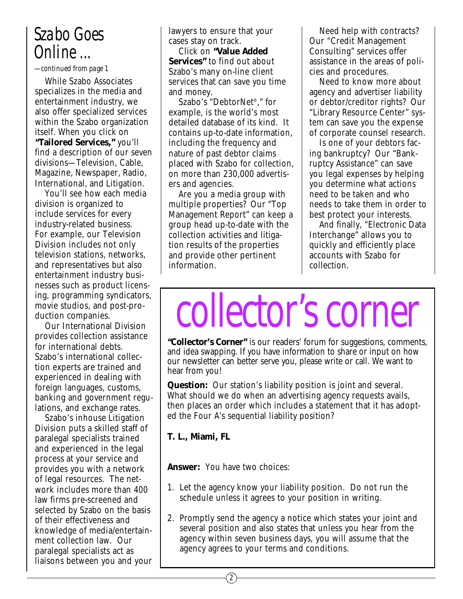### *Szabo Goes Online ...*

*—continued from page 1*

While Szabo Associates specializes in the media and entertainment industry, we also offer specialized services within the Szabo organization itself. When you click on **"Tailored Services,"** you'll find a description of our seven divisions—Television, Cable, Magazine, Newspaper, Radio, International, and Litigation.

You'll see how each media division is organized to include services for every industry-related business. For example, our Television Division includes not only television stations, networks, and representatives but also entertainment industry businesses such as product licensing, programming syndicators, movie studios, and post-production companies.

Our International Division provides collection assistance for international debts. Szabo's international collection experts are trained and experienced in dealing with foreign languages, customs, banking and government regulations, and exchange rates.

Szabo's inhouse Litigation Division puts a skilled staff of paralegal specialists trained and experienced in the legal process at your service and provides you with a network of legal resources. The network includes more than 400 law firms pre-screened and selected by Szabo on the basis of their effectiveness and knowledge of media/entertainment collection law. Our paralegal specialists act as liaisons between you and your lawyers to ensure that your cases stay on track.

Click on **"Value Added Services"** to find out about Szabo's many on-line client services that can save you time and money.

Szabo's "DebtorNet ® ," for example, is the world's most detailed database of its kind. It contains up-to-date information, including the frequency and nature of past debtor claims placed with Szabo for collection, on more than 230,000 advertisers and agencies.

Are you a media group with multiple properties? Our "Top Management Report" can keep a group head up-to-date with the collection activities and litigation results of the properties and provide other pertinent information.

Need help with contracts? Our "Credit Management Consulting" services offer assistance in the areas of policies and procedures.

Need to know more about agency and advertiser liability or debtor/creditor rights? Our "Library Resource Center" system can save you the expense of corporate counsel research.

Is one of your debtors facing bankruptcy? Our "Bankruptcy Assistance" can save you legal expenses by helping you determine what actions need to be taken and who needs to take them in order to best protect your interests.

And finally, "Electronic Data Interchange" allows you to quickly and efficiently place accounts with Szabo for collection.

# collector's corner

**"Collector's Corner"** is our readers' forum for suggestions, comments, and idea swapping. If you have information to share or input on how our newsletter can better serve you, please write or call. We want to hear from you!

**Question:** Our station's liability position is joint and several. What should we do when an advertising agency requests avails, then places an order which includes a statement that it has adopted the Four A's sequential liability position?

**T. L., Miami, FL**

**Answer:** You have two choices:

2

- 1. Let the agency know your liability position. Do not run the schedule unless it agrees to your position in writing.
- 2. Promptly send the agency a notice which states your joint and several position and also states that unless you hear from the agency within seven business days, you will assume that the agency agrees to your terms and conditions.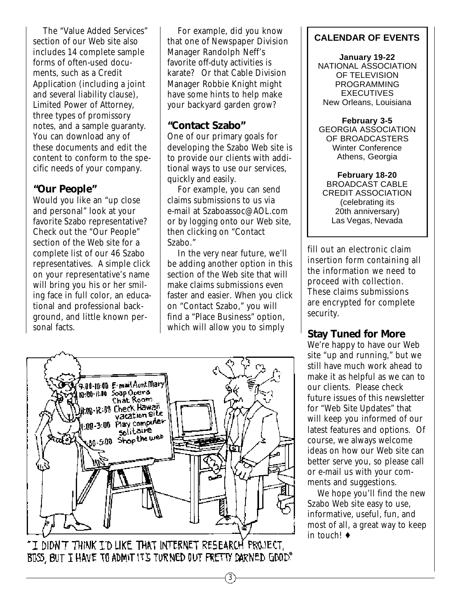The "Value Added Services" section of our Web site also includes 14 complete sample forms of often-used documents, such as a Credit Application (including a joint and several liability clause), Limited Power of Attorney, three types of promissory notes, and a sample guaranty. You can download any of these documents and edit the content to conform to the specific needs of your company.

### **"Our People"**

Would you like an "up close and personal" look at your favorite Szabo representative? Check out the "Our People" section of the Web site for a complete list of our 46 Szabo representatives. A simple click on your representative's name will bring you his or her smiling face in full color, an educational and professional background, and little known personal facts.

For example, did you know that one of Newspaper Division Manager Randolph Neff's favorite off-duty activities is karate? Or that Cable Division Manager Robbie Knight might have some hints to help make your backyard garden grow?

### **"Contact Szabo"**

One of our primary goals for developing the Szabo Web site is to provide our clients with additional ways to use our services, quickly and easily.

For example, you can send claims submissions to us via e-mail at Szaboassoc@AOL.com or by logging onto our Web site, then clicking on "Contact Szabo."

In the very near future, we'll be adding another option in this section of the Web site that will make claims submissions even faster and easier. When you click on "Contact Szabo," you will find a "Place Business" option, which will allow you to simply

3



"I DIDN'T THINK I'D LIKE THAT INTERNET RESEARCH PROJECT, BOSS, BUT I HAVE TO ADMIT IT'S TURNED OUT PRETTY DARNED GOOD"

### **CALENDAR OF EVENTS**

**January 19-22** NATIONAL ASSOCIATION OF TELEVISION PROGRAMMING EXECUTIVES New Orleans, Louisiana

**February 3-5** GEORGIA ASSOCIATION OF BROADCASTERS Winter Conference Athens, Georgia

**February 18-20** BROADCAST CABLE CREDIT ASSOCIATION (celebrating its 20th anniversary) Las Vegas, Nevada

fill out an electronic claim insertion form containing all the information we need to proceed with collection. These claims submissions are encrypted for complete security.

### **Stay Tuned for More**

We're happy to have our Web site "up and running," but we still have much work ahead to make it as helpful as we can to our clients. Please check future issues of this newsletter for "Web Site Updates" that will keep you informed of our latest features and options. Of course, we always welcome ideas on how our Web site can better serve you, so please call or e-mail us with your comments and suggestions.

We hope you'll find the new Szabo Web site easy to use, informative, useful, fun, and most of all, a great way to keep in touch! ♦